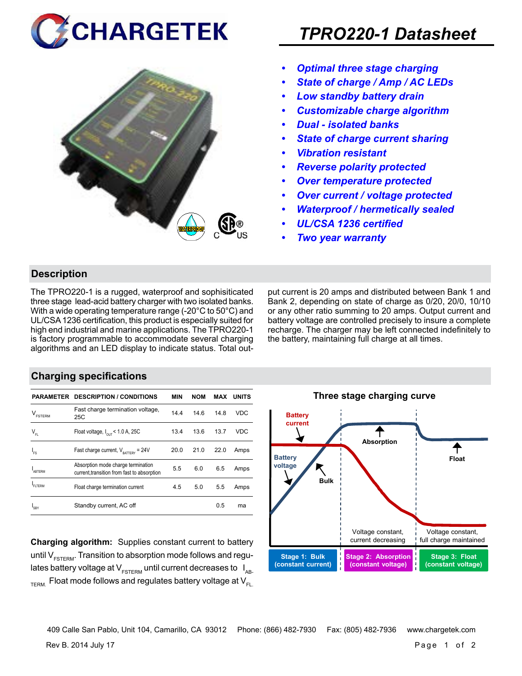



# *TPRO220-1 Datasheet*

- *• Optimal three stage charging*
- *• State of charge / Amp / AC LEDs*
- *• Low standby battery drain*
- *• Customizable charge algorithm*
- *• Dual isolated banks*
- *• State of charge current sharing*
- *• Vibration resistant*
- *• Reverse polarity protected*
- *• Over temperature protected*
- *• Over current / voltage protected*
- *• Waterproof / hermetically sealed*
- *• UL/CSA 1236 certified*
- *• Two year warranty*

#### **Description**

The TPRO220-1 is a rugged, waterproof and sophisiticated three stage lead-acid battery charger with two isolated banks. With a wide operating temperature range (-20°C to 50°C) and UL/CSA 1236 certification, this product is especially suited for high end industrial and marine applications. The TPRO220-1 is factory programmable to accommodate several charging algorithms and an LED display to indicate status. Total output current is 20 amps and distributed between Bank 1 and Bank 2, depending on state of charge as 0/20, 20/0, 10/10 or any other ratio summing to 20 amps. Output current and battery voltage are controlled precisely to insure a complete recharge. The charger may be left connected indefinitely to the battery, maintaining full charge at all times.

#### **Charging specifications**

|                                      | <b>PARAMETER DESCRIPTION / CONDITIONS</b>                                         | MIN  | <b>NOM</b> | MAX  | <b>UNITS</b> |
|--------------------------------------|-----------------------------------------------------------------------------------|------|------------|------|--------------|
| $\mathsf{V}_{\texttt{\tiny FSTERN}}$ | Fast charge termination voltage,<br>25C                                           | 14.4 | 14.6       | 14.8 | VDC          |
| $V_{FL}$                             | Float voltage, $I_{\text{out}}$ < 1.0 A, 25C                                      | 13.4 | 13.6       | 13.7 | <b>VDC</b>   |
| $I_{FS}$                             | Fast charge current, $V_{\text{partrev}} = 24V$                                   | 20.0 | 21.0       | 22.0 | Amps         |
| <b>ARTERM</b>                        | Absorption mode charge termination<br>current, transition from fast to absorption | 5.5  | 6.0        | 6.5  | Amps         |
| FI TFRM                              | Float charge termination current                                                  | 4.5  | 5.0        | 5.5  | Amps         |
| SRY                                  | Standby current, AC off                                                           |      |            | 0.5  | ma           |

**Charging algorithm:** Supplies constant current to battery until  $V_{ESTFRM}$ . Transition to absorption mode follows and regulates battery voltage at  $V_{ESTERM}$  until current decreases to  $I_{AR}$  $T_{\text{ERM}}$  Float mode follows and regulates battery voltage at  $V_{\text{F1}}$ 



Rev B. 2014 July 17 Page 1 of 2 409 Calle San Pablo, Unit 104, Camarillo, CA 93012 Phone: (866) 482-7930 Fax: (805) 482-7936 www.chargetek.com